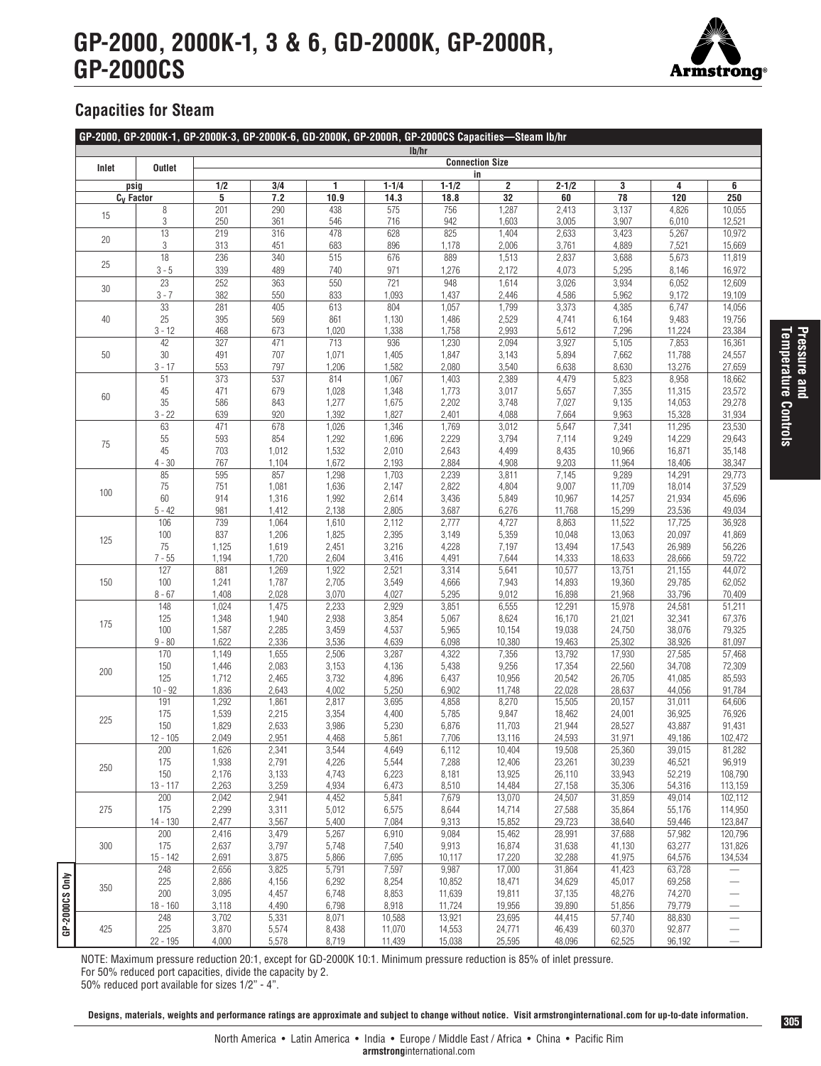## **GP-2000, 2000K-1, 3 & 6, GD-2000K, GP-2000R, GP-2000CS**



## **Capacities for Steam**

|       |                      |                        |                |                | Ib/hr          |                |                         |                  |                  |                  |                          |  |
|-------|----------------------|------------------------|----------------|----------------|----------------|----------------|-------------------------|------------------|------------------|------------------|--------------------------|--|
| Inlet | <b>Outlet</b>        | <b>Connection Size</b> |                |                |                |                |                         |                  |                  |                  |                          |  |
|       |                      | in                     |                |                |                |                |                         |                  |                  |                  |                          |  |
|       | psig                 | 1/2                    | 3/4            | 1              | $1 - 1/4$      | $1 - 1/2$      | $\overline{\mathbf{2}}$ | $2 - 1/2$        | 3                | 4                | 6                        |  |
|       | $C_v$ Factor         | 5                      | 7.2            | 10.9           | 14.3           | 18.8           | $\overline{32}$         | 60               | $\overline{78}$  | 120              | 250                      |  |
| 15    | $\, 8$<br>$\sqrt{3}$ | 201                    | 290            | 438            | 575            | 756            | 1,287                   | 2,413            | 3,137            | 4,826            | 10,055                   |  |
|       | 13                   | 250<br>219             | 361<br>316     | 546<br>478     | 716<br>628     | 942<br>825     | 1,603<br>1,404          | 3,005<br>2,633   | 3,907<br>3,423   | 6,010<br>5,267   | 12,521                   |  |
| 20    | 3                    | 313                    | 451            | 683            | 896            | 1,178          | 2,006                   | 3,761            | 4,889            | 7,521            | 10,972<br>15,669         |  |
|       | 18                   | 236                    | 340            | 515            | 676            | 889            | 1,513                   | 2,837            | 3,688            | 5,673            | 11,819                   |  |
| 25    | $3 - 5$              | 339                    | 489            |                |                |                |                         |                  |                  |                  | 16,972                   |  |
|       | 23                   | 252                    | 363            | 740<br>550     | 971<br>721     | 1,276<br>948   | 2,172<br>1,614          | 4,073<br>3,026   | 5,295<br>3,934   | 8,146<br>6,052   | 12,609                   |  |
| 30    | $3 - 7$              | 382                    | 550            | 833            | 1,093          | 1,437          | 2,446                   | 4,586            | 5,962            | 9,172            | 19,109                   |  |
|       | 33                   | 281                    | 405            | 613            | 804            | 1,057          | 1,799                   | 3,373            | 4,385            | 6,747            | 14,056                   |  |
| 40    | 25                   | 395                    | 569            | 861            | 1,130          | 1,486          | 2,529                   | 4,741            | 6,164            | 9,483            | 19,756                   |  |
|       | $3 - 12$             | 468                    | 673            | 1,020          | 1,338          | 1,758          | 2,993                   | 5,612            | 7,296            | 11,224           | 23,384                   |  |
|       | 42                   | 327                    | 471            | 713            | 936            | 1,230          | 2,094                   | 3,927            | 5,105            | 7,853            | 16,361                   |  |
| 50    | $30\,$               | 491                    | 707            | 1,071          | 1,405          | 1,847          | 3,143                   | 5,894            | 7,662            | 11,788           | 24,557                   |  |
|       | $3 - 17$             | 553                    | 797            | 1,206          | 1,582          | 2,080          | 3,540                   | 6,638            | 8,630            | 13,276           | 27,659                   |  |
|       | 51                   | 373                    | 537            | 814            | 1,067          | 1,403          | 2,389                   | 4,479            | 5,823            | 8,958            | 18,662                   |  |
| 60    | 45                   | 471                    | 679            | 1,028          | 1,348          | 1,773          | 3,017                   | 5,657            | 7,355            | 11,315           | 23,572                   |  |
|       | 35                   | 586                    | 843            | 1,277          | 1,675          | 2,202          | 3,748                   | 7,027            | 9,135            | 14,053           | 29,278                   |  |
|       | $3 - 22$             | 639                    | 920            | 1,392          | 1,827          | 2,401          | 4,088                   | 7,664            | 9,963            | 15,328           | 31,934                   |  |
|       | 63                   | 471                    | 678            | 1,026          | 1,346          | 1,769          | 3,012                   | 5,647            | 7,341            | 11,295           | 23,530                   |  |
| 75    | 55                   | 593                    | 854            | 1,292          | 1,696          | 2,229          | 3,794                   | 7,114            | 9,249            | 14,229           | 29,643                   |  |
|       | 45                   | 703                    | 1,012          | 1,532          | 2,010          | 2,643          | 4,499                   | 8,435            | 10,966           | 16,871           | 35,148                   |  |
|       | $4 - 30$             | 767                    | 1,104          | 1,672          | 2,193          | 2,884          | 4,908                   | 9,203            | 11,964           | 18,406           | 38,347                   |  |
|       | 85                   | 595                    | 857            | 1,298          | 1,703          | 2,239          | 3,811                   | 7,145            | 9,289            | 14,291           | 29,773                   |  |
| 100   | 75                   | 751                    | 1,081          | 1,636          | 2,147          | 2,822          | 4,804                   | 9,007            | 11,709           | 18,014           | 37,529                   |  |
|       | 60                   | 914                    | 1,316          | 1,992          | 2,614          | 3,436          | 5,849                   | 10,967           | 14,257           | 21,934           | 45,696                   |  |
|       | $5 - 42$             | 981                    | 1,412          | 2,138          | 2,805          | 3,687          | 6,276                   | 11,768           | 15,299           | 23,536           | 49,034                   |  |
| 125   | 106                  | 739                    | 1,064          | 1,610          | 2,112          | 2,777          | 4,727                   | 8,863            | 11,522           | 17,725           | 36,928                   |  |
|       | 100<br>75            | 837                    | 1,206          | 1,825          | 2,395          | 3,149          | 5,359<br>7,197          | 10,048           | 13,063           | 20,097           | 41,869                   |  |
|       | $7 - 55$             | 1,125<br>1,194         | 1,619<br>1,720 | 2,451<br>2,604 | 3,216<br>3,416 | 4,228<br>4,491 | 7,644                   | 13,494<br>14,333 | 17,543<br>18,633 | 26,989<br>28,666 | 56,226<br>59,722         |  |
|       | 127                  | 881                    | 1,269          | 1,922          | 2,521          | 3,314          | 5,641                   | 10,577           | 13,751           | 21,155           | 44,072                   |  |
| 150   | 100                  | 1,241                  | 1,787          | 2,705          | 3,549          | 4,666          | 7,943                   | 14,893           | 19,360           | 29,785           | 62,052                   |  |
|       | $8 - 67$             | 1,408                  | 2,028          | 3,070          | 4,027          | 5,295          | 9,012                   | 16,898           | 21,968           | 33,796           | 70,409                   |  |
|       | 148                  | 1,024                  | 1,475          | 2,233          | 2,929          | 3,851          | 6,555                   | 12,291           | 15,978           | 24,581           | 51,211                   |  |
|       | 125                  | 1,348                  | 1,940          | 2,938          | 3,854          | 5,067          | 8,624                   | 16,170           | 21,021           | 32,341           | 67,376                   |  |
| 175   | 100                  | 1,587                  | 2,285          | 3,459          | 4,537          | 5,965          | 10,154                  | 19,038           | 24,750           | 38,076           | 79,325                   |  |
|       | $9 - 80$             | 1,622                  | 2,336          | 3,536          | 4,639          | 6,098          | 10,380                  | 19,463           | 25,302           | 38,926           | 81,097                   |  |
|       | 170                  | 1,149                  | 1,655          | 2,506          | 3,287          | 4,322          | 7,356                   | 13,792           | 17,930           | 27,585           | 57,468                   |  |
|       | 150                  | 1,446                  | 2,083          | 3,153          | 4,136          | 5,438          | 9,256                   | 17,354           | 22,560           | 34,708           | 72,309                   |  |
| 200   | 125                  | 1,712                  | 2,465          | 3,732          | 4,896          | 6,437          | 10,956                  | 20,542           | 26,705           | 41,085           | 85,593                   |  |
|       | $10 - 92$            | 1,836                  | 2,643          | 4,002          | 5,250          | 6,902          | 11,748                  | 22,028           | 28,637           | 44,056           | 91,784                   |  |
| 225   | 191                  | 1,292                  | 1,861          | 2,817          | 3,695          | 4,858          | 8,270                   | 15,505           | 20,157           | 31,011           | 64,606                   |  |
|       | 175                  | 1,539                  | 2,215          | 3,354          | 4,400          | 5,785          | 9,847                   | 18,462           | 24,001           | 36,925           | 76,926                   |  |
|       | 150                  | 1,829                  | 2,633          | 3,986          | 5,230          | 6,876          | 11,703                  | 21,944           | 28,527           | 43,887           | 91,431                   |  |
|       | $12 - 105$           | 2,049                  | 2,951          | 4,468          | 5,861          | 7,706          | 13,116                  | 24,593           | 31,971           | 49,186           | 102,472                  |  |
|       | 200                  | 1,626                  | 2,341          | 3,544          | 4,649          | 6,112          | 10,404                  | 19,508           | 25,360           | 39,015           | 81,282                   |  |
| 250   | 175                  | 1,938                  | 2,791          | 4,226          | 5,544          | 7,288          | 12,406                  | 23,261           | 30,239           | 46,521           | 96,919                   |  |
|       | 150<br>$13 - 117$    | 2,176<br>2,263         | 3,133<br>3,259 | 4,743<br>4,934 | 6,223<br>6,473 | 8,181<br>8,510 | 13,925<br>14,484        | 26,110<br>27,158 | 33,943<br>35,306 | 52,219<br>54,316 | 108,790                  |  |
|       | 200                  | 2,042                  | 2,941          | 4,452          | 5,841          | 7,679          | 13,070                  | 24,507           | 31,859           | 49,014           | 113,159<br>102,112       |  |
| 275   | 175                  | 2,299                  | 3,311          | 5,012          | 6,575          | 8,644          | 14,714                  | 27,588           | 35,864           | 55,176           | 114,950                  |  |
|       | $14 - 130$           | 2,477                  | 3,567          | 5,400          | 7,084          | 9,313          | 15,852                  | 29,723           | 38,640           | 59,446           | 123,847                  |  |
|       | 200                  | 2,416                  | 3,479          | 5,267          | 6,910          | 9,084          | 15,462                  | 28,991           | 37,688           | 57,982           | 120,796                  |  |
| 300   | 175                  | 2,637                  | 3,797          | 5,748          | 7,540          | 9,913          | 16,874                  | 31,638           | 41,130           | 63,277           | 131,826                  |  |
|       | $15 - 142$           | 2,691                  | 3,875          | 5,866          | 7,695          | 10,117         | 17,220                  | 32,288           | 41,975           | 64,576           | 134,534                  |  |
| 350   | 248                  | 2,656                  | 3,825          | 5,791          | 7,597          | 9,987          | 17,000                  | 31,864           | 41,423           | 63,728           |                          |  |
|       | 225                  | 2,886                  | 4,156          | 6,292          | 8,254          | 10,852         | 18,471                  | 34,629           | 45,017           | 69,258           | —                        |  |
|       | 200                  | 3,095                  | 4,457          | 6,748          | 8,853          | 11,639         | 19,811                  | 37,135           | 48,276           | 74,270           |                          |  |
|       | $18 - 160$           | 3,118                  | 4,490          | 6,798          | 8,918          | 11,724         | 19,956                  | 39,890           | 51,856           | 79,779           |                          |  |
|       | 248                  | 3,702                  | 5,331          | 8,071          | 10,588         | 13,921         | 23,695                  | 44,415           | 57,740           | 88,830           | $\overline{\phantom{m}}$ |  |
| 425   | 225                  | 3,870                  | 5,574          | 8,438          | 11,070         | 14,553         | 24,771                  | 46,439           | 60,370           | 92,877           |                          |  |
|       | 22 - 195             | 4,000                  | 5,578          | 8,719          | 11,439         | 15,038         | 25,595                  | 48,096           | 62,525           | 96,192           |                          |  |

NOTE: Maximum pressure reduction 20:1, except for GD-2000K 10:1. Minimum pressure reduction is 85% of inlet pressure.

For 50% reduced port capacities, divide the capacity by 2.

50% reduced port available for sizes 1/2" - 4".

**Designs, materials, weights and performance ratings are approximate and subject to change without notice. Visit armstronginternational.com for up-to-date information.**